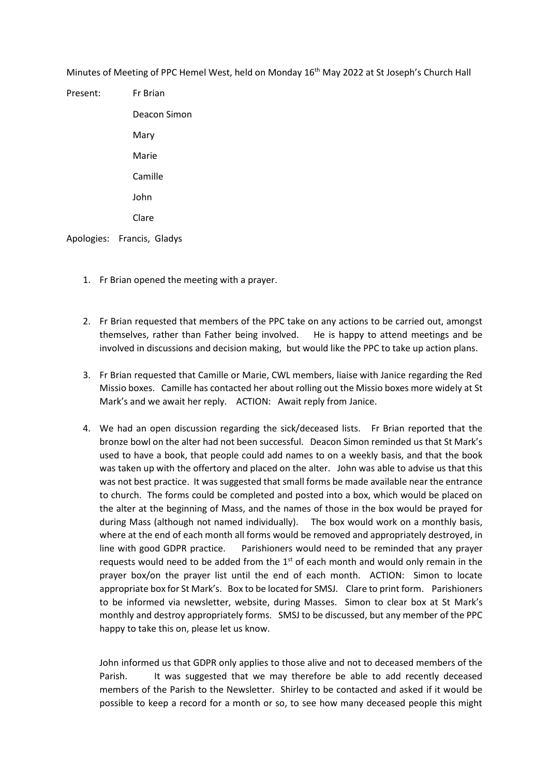Minutes of Meeting of PPC Hemel West, held on Monday 16<sup>th</sup> May 2022 at St Joseph's Church Hall

Present: Fr Brian Deacon Simon Mary Marie Camille John Clare

Apologies: Francis, Gladys

- 1. Fr Brian opened the meeting with a prayer.
- 2. Fr Brian requested that members of the PPC take on any actions to be carried out, amongst themselves, rather than Father being involved. He is happy to attend meetings and be involved in discussions and decision making, but would like the PPC to take up action plans.
- 3. Fr Brian requested that Camille or Marie, CWL members, liaise with Janice regarding the Red Missio boxes. Camille has contacted her about rolling out the Missio boxes more widely at St Mark's and we await her reply. ACTION: Await reply from Janice.
- 4. We had an open discussion regarding the sick/deceased lists. Fr Brian reported that the bronze bowl on the alter had not been successful. Deacon Simon reminded us that St Mark's used to have a book, that people could add names to on a weekly basis, and that the book was taken up with the offertory and placed on the alter. John was able to advise us that this was not best practice. It was suggested that small forms be made available near the entrance to church. The forms could be completed and posted into a box, which would be placed on the alter at the beginning of Mass, and the names of those in the box would be prayed for during Mass (although not named individually). The box would work on a monthly basis, where at the end of each month all forms would be removed and appropriately destroyed, in line with good GDPR practice. Parishioners would need to be reminded that any prayer requests would need to be added from the  $1<sup>st</sup>$  of each month and would only remain in the prayer box/on the prayer list until the end of each month. ACTION: Simon to locate appropriate box for St Mark's. Box to be located for SMSJ. Clare to print form. Parishioners to be informed via newsletter, website, during Masses. Simon to clear box at St Mark's monthly and destroy appropriately forms. SMSJ to be discussed, but any member of the PPC happy to take this on, please let us know.

John informed us that GDPR only applies to those alive and not to deceased members of the Parish. It was suggested that we may therefore be able to add recently deceased members of the Parish to the Newsletter. Shirley to be contacted and asked if it would be possible to keep a record for a month or so, to see how many deceased people this might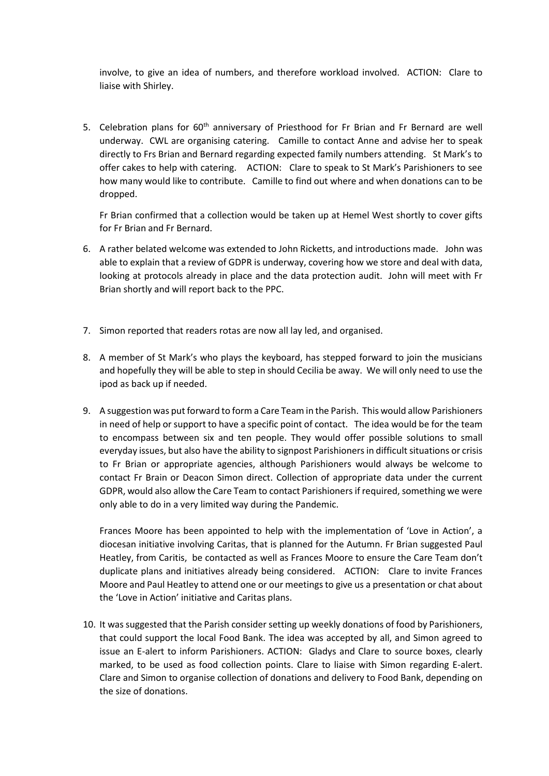involve, to give an idea of numbers, and therefore workload involved. ACTION: Clare to liaise with Shirley.

5. Celebration plans for 60<sup>th</sup> anniversary of Priesthood for Fr Brian and Fr Bernard are well underway. CWL are organising catering. Camille to contact Anne and advise her to speak directly to Frs Brian and Bernard regarding expected family numbers attending. St Mark's to offer cakes to help with catering. ACTION: Clare to speak to St Mark's Parishioners to see how many would like to contribute. Camille to find out where and when donations can to be dropped.

Fr Brian confirmed that a collection would be taken up at Hemel West shortly to cover gifts for Fr Brian and Fr Bernard.

- 6. A rather belated welcome was extended to John Ricketts, and introductions made. John was able to explain that a review of GDPR is underway, covering how we store and deal with data, looking at protocols already in place and the data protection audit. John will meet with Fr Brian shortly and will report back to the PPC.
- 7. Simon reported that readers rotas are now all lay led, and organised.
- 8. A member of St Mark's who plays the keyboard, has stepped forward to join the musicians and hopefully they will be able to step in should Cecilia be away. We will only need to use the ipod as back up if needed.
- 9. A suggestion was put forward to form a Care Team in the Parish. This would allow Parishioners in need of help or support to have a specific point of contact. The idea would be for the team to encompass between six and ten people. They would offer possible solutions to small everyday issues, but also have the ability to signpost Parishioners in difficult situations or crisis to Fr Brian or appropriate agencies, although Parishioners would always be welcome to contact Fr Brain or Deacon Simon direct. Collection of appropriate data under the current GDPR, would also allow the Care Team to contact Parishioners if required, something we were only able to do in a very limited way during the Pandemic.

Frances Moore has been appointed to help with the implementation of 'Love in Action', a diocesan initiative involving Caritas, that is planned for the Autumn. Fr Brian suggested Paul Heatley, from Caritis, be contacted as well as Frances Moore to ensure the Care Team don't duplicate plans and initiatives already being considered. ACTION: Clare to invite Frances Moore and Paul Heatley to attend one or our meetings to give us a presentation or chat about the 'Love in Action' initiative and Caritas plans.

10. It wassuggested that the Parish consider setting up weekly donations of food by Parishioners, that could support the local Food Bank. The idea was accepted by all, and Simon agreed to issue an E-alert to inform Parishioners. ACTION: Gladys and Clare to source boxes, clearly marked, to be used as food collection points. Clare to liaise with Simon regarding E-alert. Clare and Simon to organise collection of donations and delivery to Food Bank, depending on the size of donations.